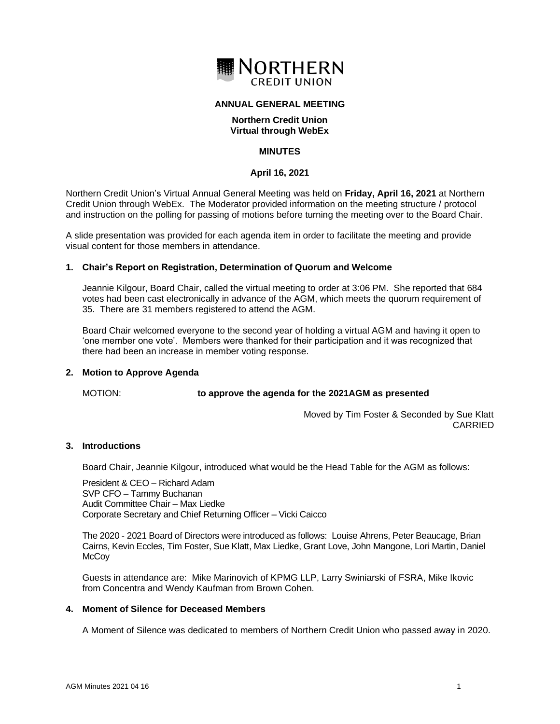

# **ANNUAL GENERAL MEETING**

# **Northern Credit Union Virtual through WebEx**

# **MINUTES**

## **April 16, 2021**

Northern Credit Union's Virtual Annual General Meeting was held on **Friday, April 16, 2021** at Northern Credit Union through WebEx. The Moderator provided information on the meeting structure / protocol and instruction on the polling for passing of motions before turning the meeting over to the Board Chair.

A slide presentation was provided for each agenda item in order to facilitate the meeting and provide visual content for those members in attendance.

## **1. Chair's Report on Registration, Determination of Quorum and Welcome**

Jeannie Kilgour, Board Chair, called the virtual meeting to order at 3:06 PM. She reported that 684 votes had been cast electronically in advance of the AGM, which meets the quorum requirement of 35. There are 31 members registered to attend the AGM.

Board Chair welcomed everyone to the second year of holding a virtual AGM and having it open to 'one member one vote'. Members were thanked for their participation and it was recognized that there had been an increase in member voting response.

### **2. Motion to Approve Agenda**

#### MOTION: **to approve the agenda for the 2021AGM as presented**

Moved by Tim Foster & Seconded by Sue Klatt CARRIED

#### **3. Introductions**

Board Chair, Jeannie Kilgour, introduced what would be the Head Table for the AGM as follows:

President & CEO – Richard Adam SVP CFO – Tammy Buchanan Audit Committee Chair – Max Liedke Corporate Secretary and Chief Returning Officer – Vicki Caicco

The 2020 - 2021 Board of Directors were introduced as follows: Louise Ahrens, Peter Beaucage, Brian Cairns, Kevin Eccles, Tim Foster, Sue Klatt, Max Liedke, Grant Love, John Mangone, Lori Martin, Daniel **McCoy** 

Guests in attendance are: Mike Marinovich of KPMG LLP, Larry Swiniarski of FSRA, Mike Ikovic from Concentra and Wendy Kaufman from Brown Cohen.

### **4. Moment of Silence for Deceased Members**

A Moment of Silence was dedicated to members of Northern Credit Union who passed away in 2020.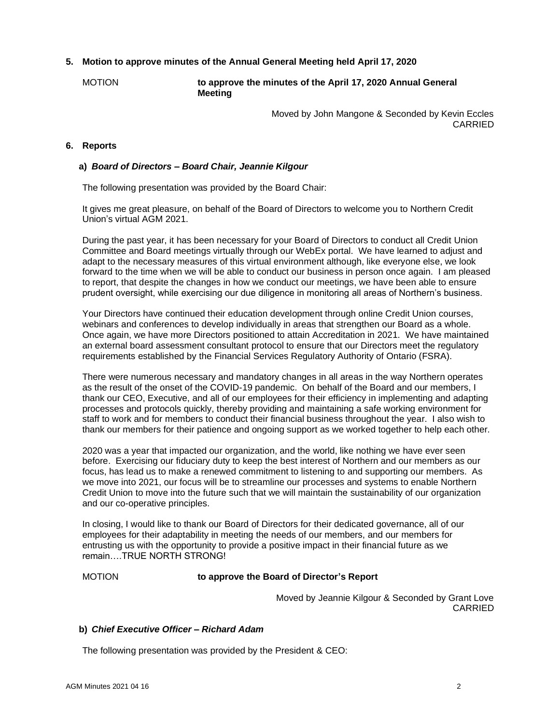# **5. Motion to approve minutes of the Annual General Meeting held April 17, 2020**

MOTION **to approve the minutes of the April 17, 2020 Annual General Meeting** 

> Moved by John Mangone & Seconded by Kevin Eccles CARRIED

# **6. Reports**

## **a)** *Board of Directors – Board Chair, Jeannie Kilgour*

The following presentation was provided by the Board Chair:

It gives me great pleasure, on behalf of the Board of Directors to welcome you to Northern Credit Union's virtual AGM 2021.

During the past year, it has been necessary for your Board of Directors to conduct all Credit Union Committee and Board meetings virtually through our WebEx portal. We have learned to adjust and adapt to the necessary measures of this virtual environment although, like everyone else, we look forward to the time when we will be able to conduct our business in person once again. I am pleased to report, that despite the changes in how we conduct our meetings, we have been able to ensure prudent oversight, while exercising our due diligence in monitoring all areas of Northern's business.

Your Directors have continued their education development through online Credit Union courses, webinars and conferences to develop individually in areas that strengthen our Board as a whole. Once again, we have more Directors positioned to attain Accreditation in 2021. We have maintained an external board assessment consultant protocol to ensure that our Directors meet the regulatory requirements established by the Financial Services Regulatory Authority of Ontario (FSRA).

There were numerous necessary and mandatory changes in all areas in the way Northern operates as the result of the onset of the COVID-19 pandemic. On behalf of the Board and our members, I thank our CEO, Executive, and all of our employees for their efficiency in implementing and adapting processes and protocols quickly, thereby providing and maintaining a safe working environment for staff to work and for members to conduct their financial business throughout the year. I also wish to thank our members for their patience and ongoing support as we worked together to help each other.

2020 was a year that impacted our organization, and the world, like nothing we have ever seen before. Exercising our fiduciary duty to keep the best interest of Northern and our members as our focus, has lead us to make a renewed commitment to listening to and supporting our members. As we move into 2021, our focus will be to streamline our processes and systems to enable Northern Credit Union to move into the future such that we will maintain the sustainability of our organization and our co-operative principles.

In closing, I would like to thank our Board of Directors for their dedicated governance, all of our employees for their adaptability in meeting the needs of our members, and our members for entrusting us with the opportunity to provide a positive impact in their financial future as we remain….TRUE NORTH STRONG!

#### MOTION **to approve the Board of Director's Report**

Moved by Jeannie Kilgour & Seconded by Grant Love CARRIED

# **b)** *Chief Executive Officer – Richard Adam*

The following presentation was provided by the President & CEO: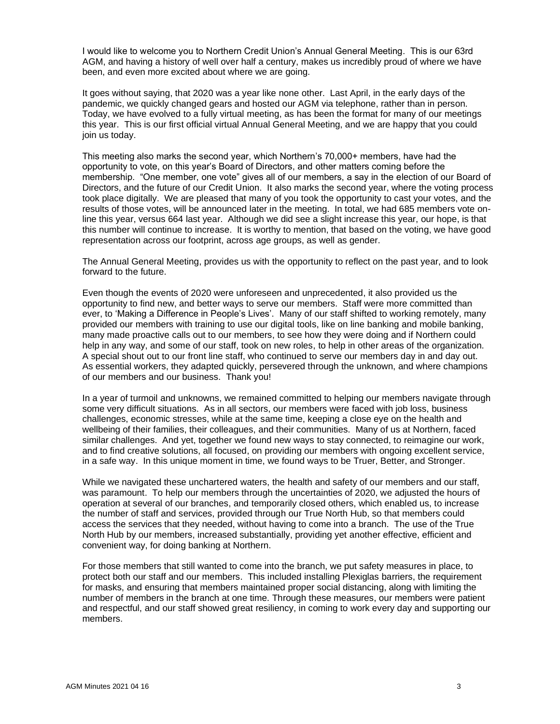I would like to welcome you to Northern Credit Union's Annual General Meeting. This is our 63rd AGM, and having a history of well over half a century, makes us incredibly proud of where we have been, and even more excited about where we are going.

It goes without saying, that 2020 was a year like none other. Last April, in the early days of the pandemic, we quickly changed gears and hosted our AGM via telephone, rather than in person. Today, we have evolved to a fully virtual meeting, as has been the format for many of our meetings this year. This is our first official virtual Annual General Meeting, and we are happy that you could join us today.

This meeting also marks the second year, which Northern's 70,000+ members, have had the opportunity to vote, on this year's Board of Directors, and other matters coming before the membership. "One member, one vote" gives all of our members, a say in the election of our Board of Directors, and the future of our Credit Union. It also marks the second year, where the voting process took place digitally. We are pleased that many of you took the opportunity to cast your votes, and the results of those votes, will be announced later in the meeting. In total, we had 685 members vote online this year, versus 664 last year. Although we did see a slight increase this year, our hope, is that this number will continue to increase. It is worthy to mention, that based on the voting, we have good representation across our footprint, across age groups, as well as gender.

The Annual General Meeting, provides us with the opportunity to reflect on the past year, and to look forward to the future.

Even though the events of 2020 were unforeseen and unprecedented, it also provided us the opportunity to find new, and better ways to serve our members. Staff were more committed than ever, to 'Making a Difference in People's Lives'. Many of our staff shifted to working remotely, many provided our members with training to use our digital tools, like on line banking and mobile banking, many made proactive calls out to our members, to see how they were doing and if Northern could help in any way, and some of our staff, took on new roles, to help in other areas of the organization. A special shout out to our front line staff, who continued to serve our members day in and day out. As essential workers, they adapted quickly, persevered through the unknown, and where champions of our members and our business. Thank you!

In a year of turmoil and unknowns, we remained committed to helping our members navigate through some very difficult situations. As in all sectors, our members were faced with job loss, business challenges, economic stresses, while at the same time, keeping a close eye on the health and wellbeing of their families, their colleagues, and their communities. Many of us at Northern, faced similar challenges. And yet, together we found new ways to stay connected, to reimagine our work, and to find creative solutions, all focused, on providing our members with ongoing excellent service, in a safe way. In this unique moment in time, we found ways to be Truer, Better, and Stronger.

While we navigated these unchartered waters, the health and safety of our members and our staff, was paramount. To help our members through the uncertainties of 2020, we adjusted the hours of operation at several of our branches, and temporarily closed others, which enabled us, to increase the number of staff and services, provided through our True North Hub, so that members could access the services that they needed, without having to come into a branch. The use of the True North Hub by our members, increased substantially, providing yet another effective, efficient and convenient way, for doing banking at Northern.

For those members that still wanted to come into the branch, we put safety measures in place, to protect both our staff and our members. This included installing Plexiglas barriers, the requirement for masks, and ensuring that members maintained proper social distancing, along with limiting the number of members in the branch at one time. Through these measures, our members were patient and respectful, and our staff showed great resiliency, in coming to work every day and supporting our members.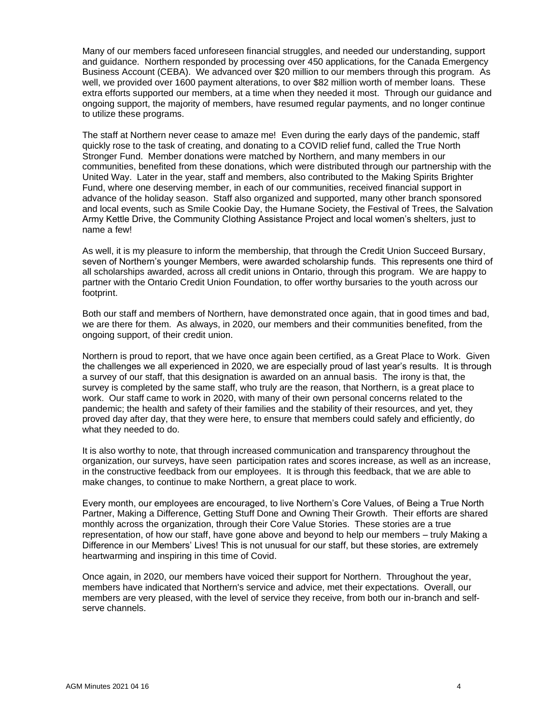Many of our members faced unforeseen financial struggles, and needed our understanding, support and guidance. Northern responded by processing over 450 applications, for the Canada Emergency Business Account (CEBA). We advanced over \$20 million to our members through this program. As well, we provided over 1600 payment alterations, to over \$82 million worth of member loans. These extra efforts supported our members, at a time when they needed it most. Through our guidance and ongoing support, the majority of members, have resumed regular payments, and no longer continue to utilize these programs.

The staff at Northern never cease to amaze me! Even during the early days of the pandemic, staff quickly rose to the task of creating, and donating to a COVID relief fund, called the True North Stronger Fund. Member donations were matched by Northern, and many members in our communities, benefited from these donations, which were distributed through our partnership with the United Way. Later in the year, staff and members, also contributed to the Making Spirits Brighter Fund, where one deserving member, in each of our communities, received financial support in advance of the holiday season. Staff also organized and supported, many other branch sponsored and local events, such as Smile Cookie Day, the Humane Society, the Festival of Trees, the Salvation Army Kettle Drive, the Community Clothing Assistance Project and local women's shelters, just to name a few!

As well, it is my pleasure to inform the membership, that through the Credit Union Succeed Bursary, seven of Northern's younger Members, were awarded scholarship funds. This represents one third of all scholarships awarded, across all credit unions in Ontario, through this program. We are happy to partner with the Ontario Credit Union Foundation, to offer worthy bursaries to the youth across our footprint.

Both our staff and members of Northern, have demonstrated once again, that in good times and bad, we are there for them. As always, in 2020, our members and their communities benefited, from the ongoing support, of their credit union.

Northern is proud to report, that we have once again been certified, as a Great Place to Work. Given the challenges we all experienced in 2020, we are especially proud of last year's results. It is through a survey of our staff, that this designation is awarded on an annual basis. The irony is that, the survey is completed by the same staff, who truly are the reason, that Northern, is a great place to work. Our staff came to work in 2020, with many of their own personal concerns related to the pandemic; the health and safety of their families and the stability of their resources, and yet, they proved day after day, that they were here, to ensure that members could safely and efficiently, do what they needed to do.

It is also worthy to note, that through increased communication and transparency throughout the organization, our surveys, have seen participation rates and scores increase, as well as an increase, in the constructive feedback from our employees. It is through this feedback, that we are able to make changes, to continue to make Northern, a great place to work.

Every month, our employees are encouraged, to live Northern's Core Values, of Being a True North Partner, Making a Difference, Getting Stuff Done and Owning Their Growth. Their efforts are shared monthly across the organization, through their Core Value Stories. These stories are a true representation, of how our staff, have gone above and beyond to help our members – truly Making a Difference in our Members' Lives! This is not unusual for our staff, but these stories, are extremely heartwarming and inspiring in this time of Covid.

Once again, in 2020, our members have voiced their support for Northern. Throughout the year, members have indicated that Northern's service and advice, met their expectations. Overall, our members are very pleased, with the level of service they receive, from both our in-branch and selfserve channels.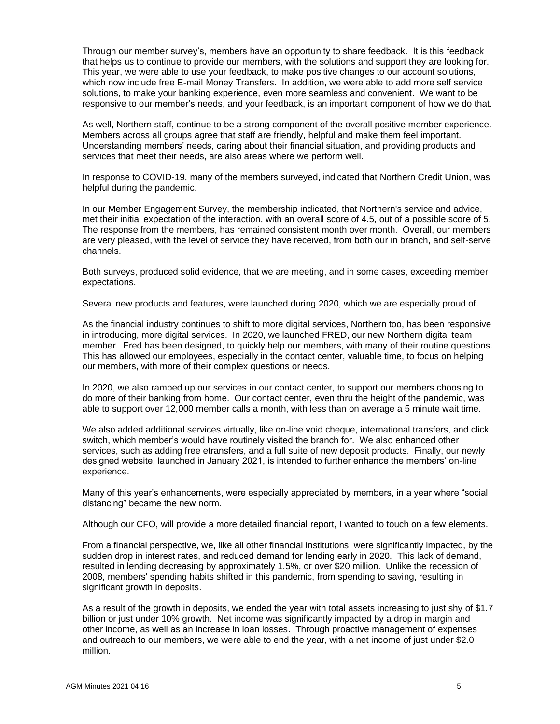Through our member survey's, members have an opportunity to share feedback. It is this feedback that helps us to continue to provide our members, with the solutions and support they are looking for. This year, we were able to use your feedback, to make positive changes to our account solutions, which now include free E-mail Money Transfers. In addition, we were able to add more self service solutions, to make your banking experience, even more seamless and convenient. We want to be responsive to our member's needs, and your feedback, is an important component of how we do that.

As well, Northern staff, continue to be a strong component of the overall positive member experience. Members across all groups agree that staff are friendly, helpful and make them feel important. Understanding members' needs, caring about their financial situation, and providing products and services that meet their needs, are also areas where we perform well.

In response to COVID-19, many of the members surveyed, indicated that Northern Credit Union, was helpful during the pandemic.

In our Member Engagement Survey, the membership indicated, that Northern's service and advice, met their initial expectation of the interaction, with an overall score of 4.5, out of a possible score of 5. The response from the members, has remained consistent month over month. Overall, our members are very pleased, with the level of service they have received, from both our in branch, and self-serve channels.

Both surveys, produced solid evidence, that we are meeting, and in some cases, exceeding member expectations.

Several new products and features, were launched during 2020, which we are especially proud of.

As the financial industry continues to shift to more digital services, Northern too, has been responsive in introducing, more digital services. In 2020, we launched FRED, our new Northern digital team member. Fred has been designed, to quickly help our members, with many of their routine questions. This has allowed our employees, especially in the contact center, valuable time, to focus on helping our members, with more of their complex questions or needs.

In 2020, we also ramped up our services in our contact center, to support our members choosing to do more of their banking from home. Our contact center, even thru the height of the pandemic, was able to support over 12,000 member calls a month, with less than on average a 5 minute wait time.

We also added additional services virtually, like on-line void cheque, international transfers, and click switch, which member's would have routinely visited the branch for. We also enhanced other services, such as adding free etransfers, and a full suite of new deposit products. Finally, our newly designed website, launched in January 2021, is intended to further enhance the members' on-line experience.

Many of this year's enhancements, were especially appreciated by members, in a year where "social distancing" became the new norm.

Although our CFO, will provide a more detailed financial report, I wanted to touch on a few elements.

From a financial perspective, we, like all other financial institutions, were significantly impacted, by the sudden drop in interest rates, and reduced demand for lending early in 2020. This lack of demand, resulted in lending decreasing by approximately 1.5%, or over \$20 million. Unlike the recession of 2008, members' spending habits shifted in this pandemic, from spending to saving, resulting in significant growth in deposits.

As a result of the growth in deposits, we ended the year with total assets increasing to just shy of \$1.7 billion or just under 10% growth. Net income was significantly impacted by a drop in margin and other income, as well as an increase in loan losses. Through proactive management of expenses and outreach to our members, we were able to end the year, with a net income of just under \$2.0 million.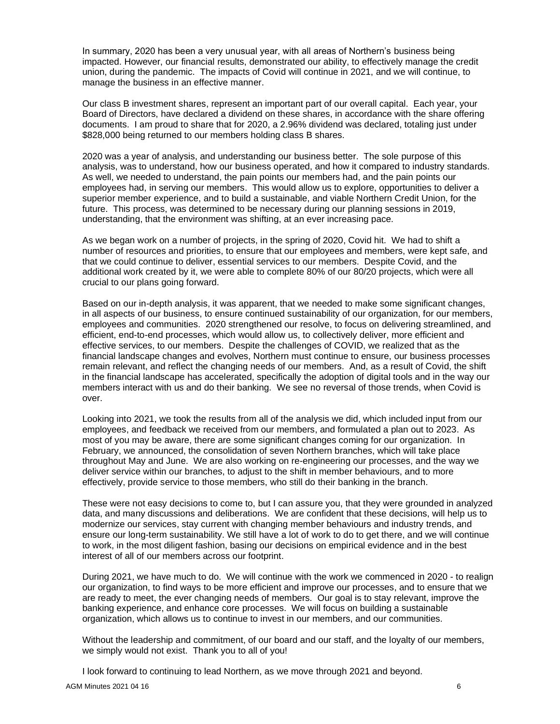In summary, 2020 has been a very unusual year, with all areas of Northern's business being impacted. However, our financial results, demonstrated our ability, to effectively manage the credit union, during the pandemic. The impacts of Covid will continue in 2021, and we will continue, to manage the business in an effective manner.

Our class B investment shares, represent an important part of our overall capital. Each year, your Board of Directors, have declared a dividend on these shares, in accordance with the share offering documents. I am proud to share that for 2020, a 2.96% dividend was declared, totaling just under \$828,000 being returned to our members holding class B shares.

2020 was a year of analysis, and understanding our business better. The sole purpose of this analysis, was to understand, how our business operated, and how it compared to industry standards. As well, we needed to understand, the pain points our members had, and the pain points our employees had, in serving our members. This would allow us to explore, opportunities to deliver a superior member experience, and to build a sustainable, and viable Northern Credit Union, for the future. This process, was determined to be necessary during our planning sessions in 2019, understanding, that the environment was shifting, at an ever increasing pace.

As we began work on a number of projects, in the spring of 2020, Covid hit. We had to shift a number of resources and priorities, to ensure that our employees and members, were kept safe, and that we could continue to deliver, essential services to our members. Despite Covid, and the additional work created by it, we were able to complete 80% of our 80/20 projects, which were all crucial to our plans going forward.

Based on our in-depth analysis, it was apparent, that we needed to make some significant changes, in all aspects of our business, to ensure continued sustainability of our organization, for our members, employees and communities. 2020 strengthened our resolve, to focus on delivering streamlined, and efficient, end-to-end processes, which would allow us, to collectively deliver, more efficient and effective services, to our members. Despite the challenges of COVID, we realized that as the financial landscape changes and evolves, Northern must continue to ensure, our business processes remain relevant, and reflect the changing needs of our members. And, as a result of Covid, the shift in the financial landscape has accelerated, specifically the adoption of digital tools and in the way our members interact with us and do their banking. We see no reversal of those trends, when Covid is over.

Looking into 2021, we took the results from all of the analysis we did, which included input from our employees, and feedback we received from our members, and formulated a plan out to 2023. As most of you may be aware, there are some significant changes coming for our organization. In February, we announced, the consolidation of seven Northern branches, which will take place throughout May and June. We are also working on re-engineering our processes, and the way we deliver service within our branches, to adjust to the shift in member behaviours, and to more effectively, provide service to those members, who still do their banking in the branch.

These were not easy decisions to come to, but I can assure you, that they were grounded in analyzed data, and many discussions and deliberations. We are confident that these decisions, will help us to modernize our services, stay current with changing member behaviours and industry trends, and ensure our long-term sustainability. We still have a lot of work to do to get there, and we will continue to work, in the most diligent fashion, basing our decisions on empirical evidence and in the best interest of all of our members across our footprint.

During 2021, we have much to do. We will continue with the work we commenced in 2020 - to realign our organization, to find ways to be more efficient and improve our processes, and to ensure that we are ready to meet, the ever changing needs of members. Our goal is to stay relevant, improve the banking experience, and enhance core processes. We will focus on building a sustainable organization, which allows us to continue to invest in our members, and our communities.

Without the leadership and commitment, of our board and our staff, and the loyalty of our members, we simply would not exist. Thank you to all of you!

I look forward to continuing to lead Northern, as we move through 2021 and beyond.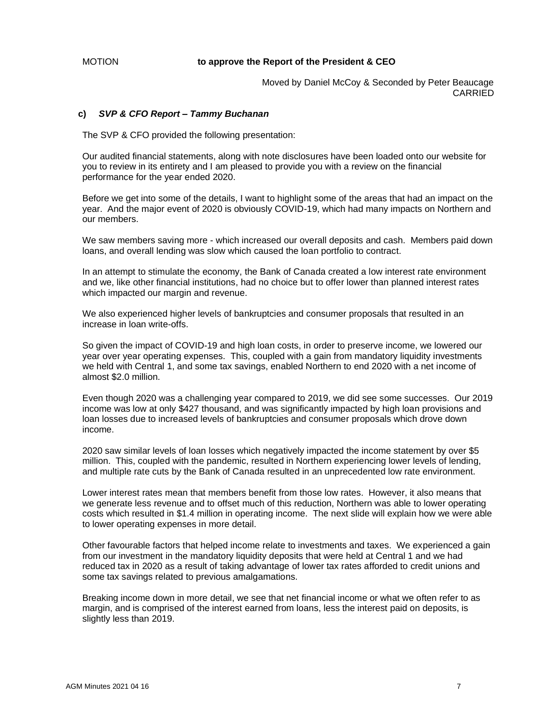# MOTION **to approve the Report of the President & CEO**

Moved by Daniel McCoy & Seconded by Peter Beaucage CARRIED

## **c)** *SVP & CFO Report – Tammy Buchanan*

The SVP & CFO provided the following presentation:

Our audited financial statements, along with note disclosures have been loaded onto our website for you to review in its entirety and I am pleased to provide you with a review on the financial performance for the year ended 2020.

Before we get into some of the details, I want to highlight some of the areas that had an impact on the year. And the major event of 2020 is obviously COVID-19, which had many impacts on Northern and our members.

We saw members saving more - which increased our overall deposits and cash. Members paid down loans, and overall lending was slow which caused the loan portfolio to contract.

In an attempt to stimulate the economy, the Bank of Canada created a low interest rate environment and we, like other financial institutions, had no choice but to offer lower than planned interest rates which impacted our margin and revenue.

We also experienced higher levels of bankruptcies and consumer proposals that resulted in an increase in loan write-offs.

So given the impact of COVID-19 and high loan costs, in order to preserve income, we lowered our year over year operating expenses. This, coupled with a gain from mandatory liquidity investments we held with Central 1, and some tax savings, enabled Northern to end 2020 with a net income of almost \$2.0 million.

Even though 2020 was a challenging year compared to 2019, we did see some successes. Our 2019 income was low at only \$427 thousand, and was significantly impacted by high loan provisions and loan losses due to increased levels of bankruptcies and consumer proposals which drove down income.

2020 saw similar levels of loan losses which negatively impacted the income statement by over \$5 million. This, coupled with the pandemic, resulted in Northern experiencing lower levels of lending, and multiple rate cuts by the Bank of Canada resulted in an unprecedented low rate environment.

Lower interest rates mean that members benefit from those low rates. However, it also means that we generate less revenue and to offset much of this reduction, Northern was able to lower operating costs which resulted in \$1.4 million in operating income. The next slide will explain how we were able to lower operating expenses in more detail.

Other favourable factors that helped income relate to investments and taxes. We experienced a gain from our investment in the mandatory liquidity deposits that were held at Central 1 and we had reduced tax in 2020 as a result of taking advantage of lower tax rates afforded to credit unions and some tax savings related to previous amalgamations.

Breaking income down in more detail, we see that net financial income or what we often refer to as margin, and is comprised of the interest earned from loans, less the interest paid on deposits, is slightly less than 2019.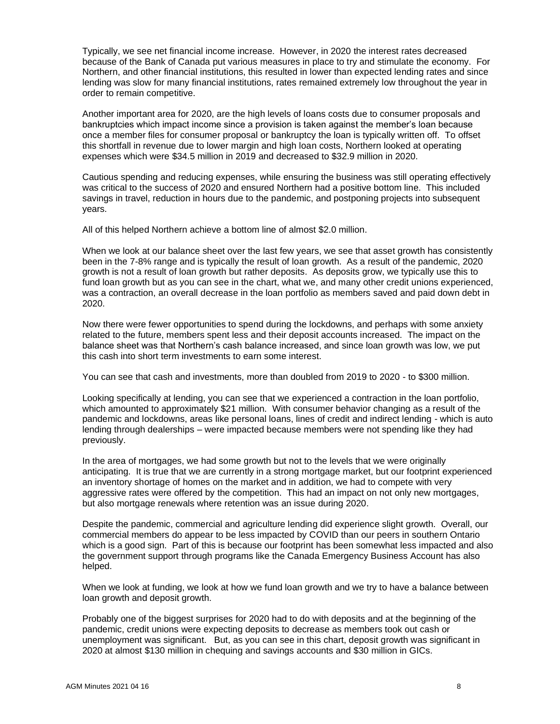Typically, we see net financial income increase. However, in 2020 the interest rates decreased because of the Bank of Canada put various measures in place to try and stimulate the economy. For Northern, and other financial institutions, this resulted in lower than expected lending rates and since lending was slow for many financial institutions, rates remained extremely low throughout the year in order to remain competitive.

Another important area for 2020, are the high levels of loans costs due to consumer proposals and bankruptcies which impact income since a provision is taken against the member's loan because once a member files for consumer proposal or bankruptcy the loan is typically written off. To offset this shortfall in revenue due to lower margin and high loan costs, Northern looked at operating expenses which were \$34.5 million in 2019 and decreased to \$32.9 million in 2020.

Cautious spending and reducing expenses, while ensuring the business was still operating effectively was critical to the success of 2020 and ensured Northern had a positive bottom line. This included savings in travel, reduction in hours due to the pandemic, and postponing projects into subsequent years.

All of this helped Northern achieve a bottom line of almost \$2.0 million.

When we look at our balance sheet over the last few years, we see that asset growth has consistently been in the 7-8% range and is typically the result of loan growth. As a result of the pandemic, 2020 growth is not a result of loan growth but rather deposits. As deposits grow, we typically use this to fund loan growth but as you can see in the chart, what we, and many other credit unions experienced, was a contraction, an overall decrease in the loan portfolio as members saved and paid down debt in 2020.

Now there were fewer opportunities to spend during the lockdowns, and perhaps with some anxiety related to the future, members spent less and their deposit accounts increased. The impact on the balance sheet was that Northern's cash balance increased, and since loan growth was low, we put this cash into short term investments to earn some interest.

You can see that cash and investments, more than doubled from 2019 to 2020 - to \$300 million.

Looking specifically at lending, you can see that we experienced a contraction in the loan portfolio, which amounted to approximately \$21 million. With consumer behavior changing as a result of the pandemic and lockdowns, areas like personal loans, lines of credit and indirect lending - which is auto lending through dealerships – were impacted because members were not spending like they had previously.

In the area of mortgages, we had some growth but not to the levels that we were originally anticipating. It is true that we are currently in a strong mortgage market, but our footprint experienced an inventory shortage of homes on the market and in addition, we had to compete with very aggressive rates were offered by the competition. This had an impact on not only new mortgages, but also mortgage renewals where retention was an issue during 2020.

Despite the pandemic, commercial and agriculture lending did experience slight growth. Overall, our commercial members do appear to be less impacted by COVID than our peers in southern Ontario which is a good sign. Part of this is because our footprint has been somewhat less impacted and also the government support through programs like the Canada Emergency Business Account has also helped.

When we look at funding, we look at how we fund loan growth and we try to have a balance between loan growth and deposit growth.

Probably one of the biggest surprises for 2020 had to do with deposits and at the beginning of the pandemic, credit unions were expecting deposits to decrease as members took out cash or unemployment was significant. But, as you can see in this chart, deposit growth was significant in 2020 at almost \$130 million in chequing and savings accounts and \$30 million in GICs.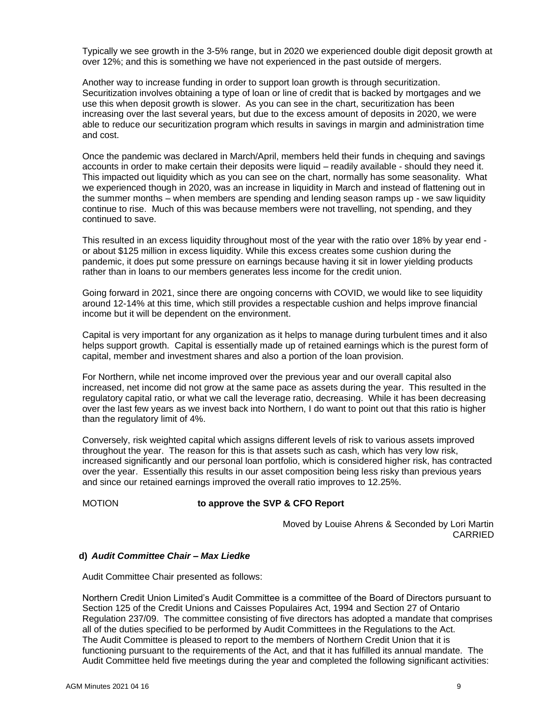Typically we see growth in the 3-5% range, but in 2020 we experienced double digit deposit growth at over 12%; and this is something we have not experienced in the past outside of mergers.

Another way to increase funding in order to support loan growth is through securitization. Securitization involves obtaining a type of loan or line of credit that is backed by mortgages and we use this when deposit growth is slower. As you can see in the chart, securitization has been increasing over the last several years, but due to the excess amount of deposits in 2020, we were able to reduce our securitization program which results in savings in margin and administration time and cost.

Once the pandemic was declared in March/April, members held their funds in chequing and savings accounts in order to make certain their deposits were liquid – readily available - should they need it. This impacted out liquidity which as you can see on the chart, normally has some seasonality. What we experienced though in 2020, was an increase in liquidity in March and instead of flattening out in the summer months – when members are spending and lending season ramps up - we saw liquidity continue to rise. Much of this was because members were not travelling, not spending, and they continued to save.

This resulted in an excess liquidity throughout most of the year with the ratio over 18% by year end or about \$125 million in excess liquidity. While this excess creates some cushion during the pandemic, it does put some pressure on earnings because having it sit in lower yielding products rather than in loans to our members generates less income for the credit union.

Going forward in 2021, since there are ongoing concerns with COVID, we would like to see liquidity around 12-14% at this time, which still provides a respectable cushion and helps improve financial income but it will be dependent on the environment.

Capital is very important for any organization as it helps to manage during turbulent times and it also helps support growth. Capital is essentially made up of retained earnings which is the purest form of capital, member and investment shares and also a portion of the loan provision.

For Northern, while net income improved over the previous year and our overall capital also increased, net income did not grow at the same pace as assets during the year. This resulted in the regulatory capital ratio, or what we call the leverage ratio, decreasing. While it has been decreasing over the last few years as we invest back into Northern, I do want to point out that this ratio is higher than the regulatory limit of 4%.

Conversely, risk weighted capital which assigns different levels of risk to various assets improved throughout the year. The reason for this is that assets such as cash, which has very low risk, increased significantly and our personal loan portfolio, which is considered higher risk, has contracted over the year. Essentially this results in our asset composition being less risky than previous years and since our retained earnings improved the overall ratio improves to 12.25%.

# MOTION **to approve the SVP & CFO Report**

Moved by Louise Ahrens & Seconded by Lori Martin CARRIED

# **d)** *Audit Committee Chair – Max Liedke*

Audit Committee Chair presented as follows:

Northern Credit Union Limited's Audit Committee is a committee of the Board of Directors pursuant to Section 125 of the Credit Unions and Caisses Populaires Act, 1994 and Section 27 of Ontario Regulation 237/09. The committee consisting of five directors has adopted a mandate that comprises all of the duties specified to be performed by Audit Committees in the Regulations to the Act. The Audit Committee is pleased to report to the members of Northern Credit Union that it is functioning pursuant to the requirements of the Act, and that it has fulfilled its annual mandate. The Audit Committee held five meetings during the year and completed the following significant activities: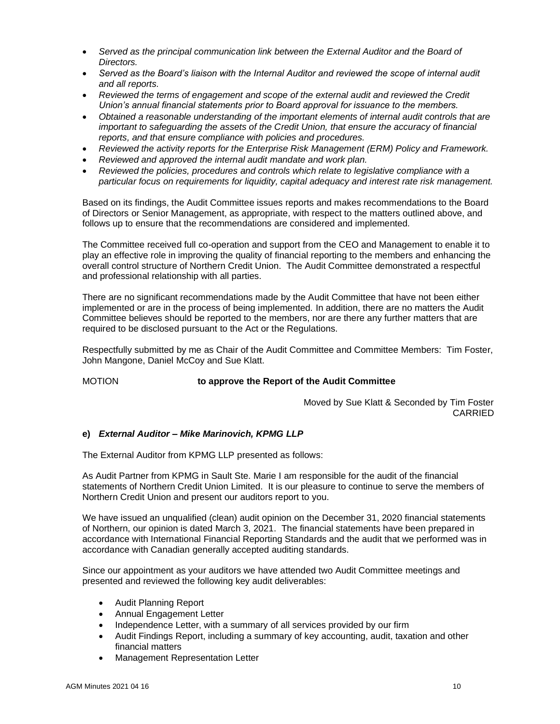- *Served as the principal communication link between the External Auditor and the Board of Directors.*
- *Served as the Board's liaison with the Internal Auditor and reviewed the scope of internal audit and all reports.*
- *Reviewed the terms of engagement and scope of the external audit and reviewed the Credit Union's annual financial statements prior to Board approval for issuance to the members.*
- *Obtained a reasonable understanding of the important elements of internal audit controls that are important to safeguarding the assets of the Credit Union, that ensure the accuracy of financial reports, and that ensure compliance with policies and procedures.*
- *Reviewed the activity reports for the Enterprise Risk Management (ERM) Policy and Framework.*
- *Reviewed and approved the internal audit mandate and work plan.*
- *Reviewed the policies, procedures and controls which relate to legislative compliance with a particular focus on requirements for liquidity, capital adequacy and interest rate risk management.*

Based on its findings, the Audit Committee issues reports and makes recommendations to the Board of Directors or Senior Management, as appropriate, with respect to the matters outlined above, and follows up to ensure that the recommendations are considered and implemented.

The Committee received full co-operation and support from the CEO and Management to enable it to play an effective role in improving the quality of financial reporting to the members and enhancing the overall control structure of Northern Credit Union. The Audit Committee demonstrated a respectful and professional relationship with all parties.

There are no significant recommendations made by the Audit Committee that have not been either implemented or are in the process of being implemented. In addition, there are no matters the Audit Committee believes should be reported to the members, nor are there any further matters that are required to be disclosed pursuant to the Act or the Regulations.

Respectfully submitted by me as Chair of the Audit Committee and Committee Members: Tim Foster, John Mangone, Daniel McCoy and Sue Klatt.

# MOTION **to approve the Report of the Audit Committee**

Moved by Sue Klatt & Seconded by Tim Foster CARRIED

# **e)** *External Auditor – Mike Marinovich, KPMG LLP*

The External Auditor from KPMG LLP presented as follows:

As Audit Partner from KPMG in Sault Ste. Marie I am responsible for the audit of the financial statements of Northern Credit Union Limited. It is our pleasure to continue to serve the members of Northern Credit Union and present our auditors report to you.

We have issued an unqualified (clean) audit opinion on the December 31, 2020 financial statements of Northern, our opinion is dated March 3, 2021. The financial statements have been prepared in accordance with International Financial Reporting Standards and the audit that we performed was in accordance with Canadian generally accepted auditing standards.

Since our appointment as your auditors we have attended two Audit Committee meetings and presented and reviewed the following key audit deliverables:

- Audit Planning Report
- Annual Engagement Letter
- Independence Letter, with a summary of all services provided by our firm
- Audit Findings Report, including a summary of key accounting, audit, taxation and other financial matters
- Management Representation Letter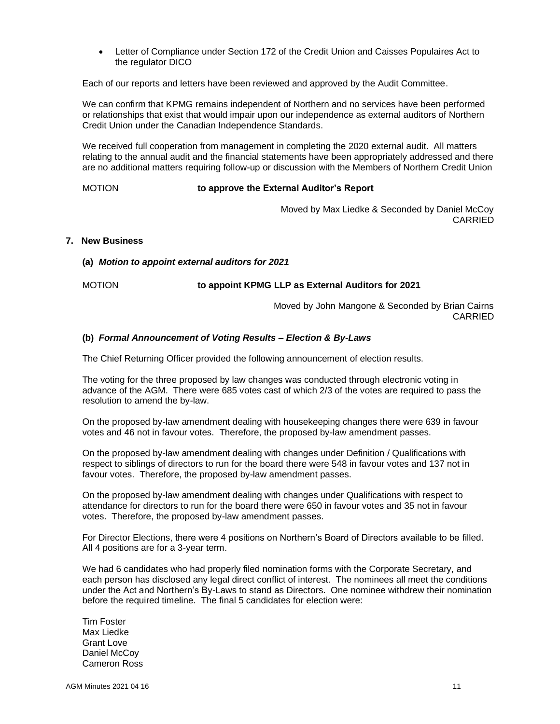• Letter of Compliance under Section 172 of the Credit Union and Caisses Populaires Act to the regulator DICO

Each of our reports and letters have been reviewed and approved by the Audit Committee.

We can confirm that KPMG remains independent of Northern and no services have been performed or relationships that exist that would impair upon our independence as external auditors of Northern Credit Union under the Canadian Independence Standards.

We received full cooperation from management in completing the 2020 external audit. All matters relating to the annual audit and the financial statements have been appropriately addressed and there are no additional matters requiring follow-up or discussion with the Members of Northern Credit Union

MOTION **to approve the External Auditor's Report**

Moved by Max Liedke & Seconded by Daniel McCoy CARRIED

# **7. New Business**

**(a)** *Motion to appoint external auditors for 2021*

MOTION **to appoint KPMG LLP as External Auditors for 2021**

Moved by John Mangone & Seconded by Brian Cairns CARRIED

#### **(b)** *Formal Announcement of Voting Results – Election & By-Laws*

The Chief Returning Officer provided the following announcement of election results.

The voting for the three proposed by law changes was conducted through electronic voting in advance of the AGM. There were 685 votes cast of which 2/3 of the votes are required to pass the resolution to amend the by-law.

On the proposed by-law amendment dealing with housekeeping changes there were 639 in favour votes and 46 not in favour votes. Therefore, the proposed by-law amendment passes.

On the proposed by-law amendment dealing with changes under Definition / Qualifications with respect to siblings of directors to run for the board there were 548 in favour votes and 137 not in favour votes. Therefore, the proposed by-law amendment passes.

On the proposed by-law amendment dealing with changes under Qualifications with respect to attendance for directors to run for the board there were 650 in favour votes and 35 not in favour votes. Therefore, the proposed by-law amendment passes.

For Director Elections, there were 4 positions on Northern's Board of Directors available to be filled. All 4 positions are for a 3-year term.

We had 6 candidates who had properly filed nomination forms with the Corporate Secretary, and each person has disclosed any legal direct conflict of interest. The nominees all meet the conditions under the Act and Northern's By-Laws to stand as Directors. One nominee withdrew their nomination before the required timeline. The final 5 candidates for election were:

Tim Foster Max Liedke Grant Love Daniel McCoy Cameron Ross